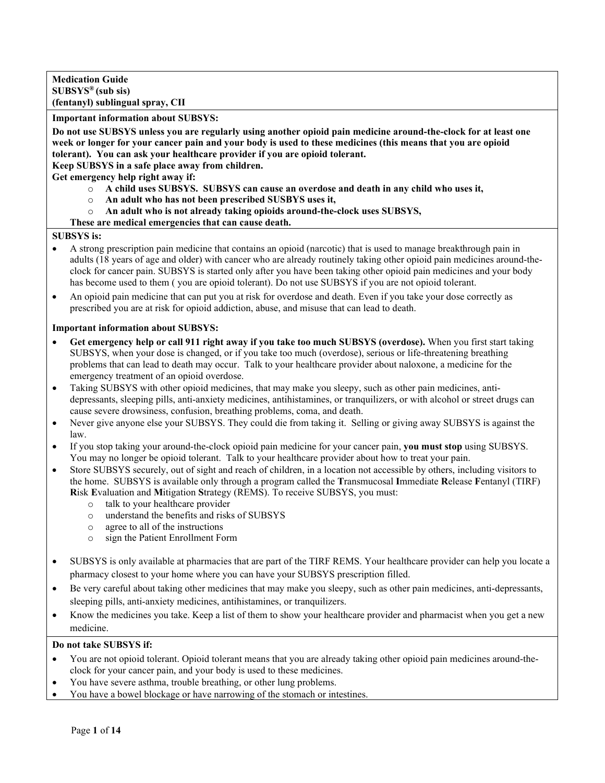**Important information about SUBSYS:**

**Do not use SUBSYS unless you are regularly using another opioid pain medicine around-the-clock for at least one week or longer for your cancer pain and your body is used to these medicines (this means that you are opioid tolerant). You can ask your healthcare provider if you are opioid tolerant.**

**Keep SUBSYS in a safe place away from children.**

**Get emergency help right away if:**

- o **A child uses SUBSYS. SUBSYS can cause an overdose and death in any child who uses it,**
- o **An adult who has not been prescribed SUSBYS uses it,**
- An adult who is not already taking opioids around-the-clock uses SUBSYS,

## **These are medical emergencies that can cause death.**

#### **SUBSYS is:**

- A strong prescription pain medicine that contains an opioid (narcotic) that is used to manage breakthrough pain in adults (18 years of age and older) with cancer who are already routinely taking other opioid pain medicines around-theclock for cancer pain. SUBSYS is started only after you have been taking other opioid pain medicines and your body has become used to them ( you are opioid tolerant). Do not use SUBSYS if you are not opioid tolerant.
- An opioid pain medicine that can put you at risk for overdose and death. Even if you take your dose correctly as prescribed you are at risk for opioid addiction, abuse, and misuse that can lead to death.

#### **Important information about SUBSYS:**

- **Get emergency help or call 911 right away if you take too much SUBSYS (overdose).** When you first start taking SUBSYS, when your dose is changed, or if you take too much (overdose), serious or life-threatening breathing problems that can lead to death may occur. Talk to your healthcare provider about naloxone, a medicine for the emergency treatment of an opioid overdose.
- Taking SUBSYS with other opioid medicines, that may make you sleepy, such as other pain medicines, antidepressants, sleeping pills, anti-anxiety medicines, antihistamines, or tranquilizers, or with alcohol or street drugs can cause severe drowsiness, confusion, breathing problems, coma, and death.
- Never give anyone else your SUBSYS. They could die from taking it. Selling or giving away SUBSYS is against the law.
- If you stop taking your around-the-clock opioid pain medicine for your cancer pain, **you must stop** using SUBSYS. You may no longer be opioid tolerant. Talk to your healthcare provider about how to treat your pain.
- Store SUBSYS securely, out of sight and reach of children, in a location not accessible by others, including visitors to the home. SUBSYS is available only through a program called the **T**ransmucosal **I**mmediate **R**elease **F**entanyl (TIRF) **R**isk **E**valuation and **M**itigation **S**trategy (REMS). To receive SUBSYS, you must:
	-
	- $\circ$  talk to your healthcare provider<br> $\circ$  understand the benefits and risk understand the benefits and risks of SUBSYS
	- o agree to all of the instructions
	- sign the Patient Enrollment Form
- SUBSYS is only available at pharmacies that are part of the TIRF REMS. Your healthcare provider can help you locate a pharmacy closest to your home where you can have your SUBSYS prescription filled.
- Be very careful about taking other medicines that may make you sleepy, such as other pain medicines, anti-depressants, sleeping pills, anti-anxiety medicines, antihistamines, or tranquilizers.
- Know the medicines you take. Keep a list of them to show your healthcare provider and pharmacist when you get a new medicine.

#### **Do not take SUBSYS if:**

- You are not opioid tolerant. Opioid tolerant means that you are already taking other opioid pain medicines around-theclock for your cancer pain, and your body is used to these medicines.
- You have severe asthma, trouble breathing, or other lung problems.
- You have a bowel blockage or have narrowing of the stomach or intestines.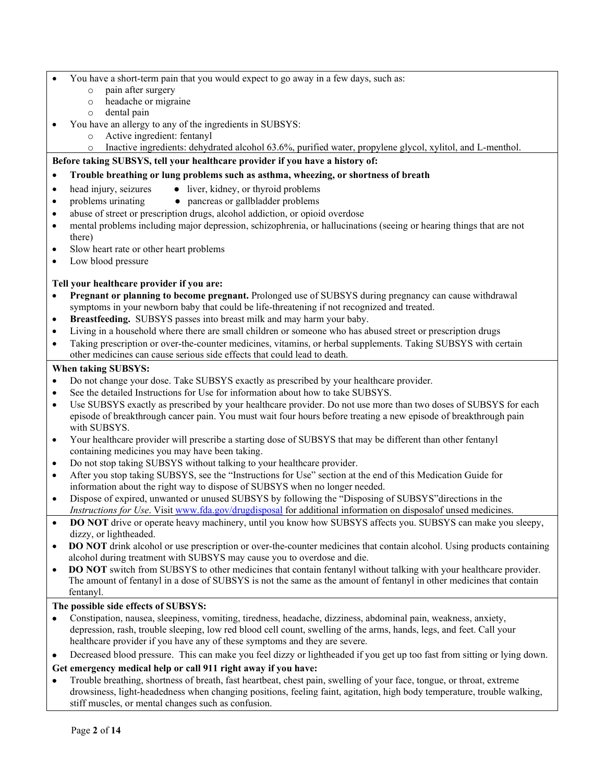- You have a short-term pain that you would expect to go away in a few days, such as:
	- o pain after surgery
	- o headache or migraine
	- o dental pain
	- You have an allergy to any of the ingredients in SUBSYS:
		- o Active ingredient: fentanyl
		- o Inactive ingredients: dehydrated alcohol 63.6%, purified water, propylene glycol, xylitol, and L-menthol.

## **Before taking SUBSYS, tell your healthcare provider if you have a history of:**

## • **Trouble breathing or lung problems such as asthma, wheezing, or shortness of breath**

- head injury, seizures liver, kidney, or thyroid problems
- problems urinating pancreas or gallbladder problems
- abuse of street or prescription drugs, alcohol addiction, or opioid overdose
- mental problems including major depression, schizophrenia, or hallucinations (seeing or hearing things that are not there)
- Slow heart rate or other heart problems
- Low blood pressure

## **Tell your healthcare provider if you are:**

- **Pregnant or planning to become pregnant.** Prolonged use of SUBSYS during pregnancy can cause withdrawal symptoms in your newborn baby that could be life-threatening if not recognized and treated.
- **Breastfeeding.** SUBSYS passes into breast milk and may harm your baby.
- Living in a household where there are small children or someone who has abused street or prescription drugs
- Taking prescription or over-the-counter medicines, vitamins, or herbal supplements. Taking SUBSYS with certain other medicines can cause serious side effects that could lead to death.

#### **When taking SUBSYS:**

- Do not change your dose. Take SUBSYS exactly as prescribed by your healthcare provider.
- See the detailed Instructions for Use for information about how to take SUBSYS.
- Use SUBSYS exactly as prescribed by your healthcare provider. Do not use more than two doses of SUBSYS for each episode of breakthrough cancer pain. You must wait four hours before treating a new episode of breakthrough pain with SUBSYS.
- Your healthcare provider will prescribe a starting dose of SUBSYS that may be different than other fentanyl containing medicines you may have been taking.
- Do not stop taking SUBSYS without talking to your healthcare provider.
- After you stop taking SUBSYS, see the "Instructions for Use" section at the end of this Medication Guide for information about the right way to dispose of SUBSYS when no longer needed.
- Dispose of expired, unwanted or unused SUBSYS by following the "Disposing of SUBSYS"directions in the *Instructions for Use*. Visi[t www.fda.gov/drugdisposal](http://www.fda.gov/drugdisposal) for additional information on disposalof unsed medicines.
- **DO NOT** drive or operate heavy machinery, until you know how SUBSYS affects you. SUBSYS can make you sleepy, dizzy, or lightheaded.
- **DO NOT** drink alcohol or use prescription or over-the-counter medicines that contain alcohol. Using products containing alcohol during treatment with SUBSYS may cause you to overdose and die.
- **DO NOT** switch from SUBSYS to other medicines that contain fentanyl without talking with your healthcare provider. The amount of fentanyl in a dose of SUBSYS is not the same as the amount of fentanyl in other medicines that contain fentanyl.

#### **The possible side effects of SUBSYS:**

• Constipation, nausea, sleepiness, vomiting, tiredness, headache, dizziness, abdominal pain, weakness, anxiety, depression, rash, trouble sleeping, low red blood cell count, swelling of the arms, hands, legs, and feet. Call your healthcare provider if you have any of these symptoms and they are severe.

• Decreased blood pressure. This can make you feel dizzy or lightheaded if you get up too fast from sitting or lying down.

#### **Get emergency medical help or call 911 right away if you have:**

• Trouble breathing, shortness of breath, fast heartbeat, chest pain, swelling of your face, tongue, or throat, extreme drowsiness, light-headedness when changing positions, feeling faint, agitation, high body temperature, trouble walking, stiff muscles, or mental changes such as confusion.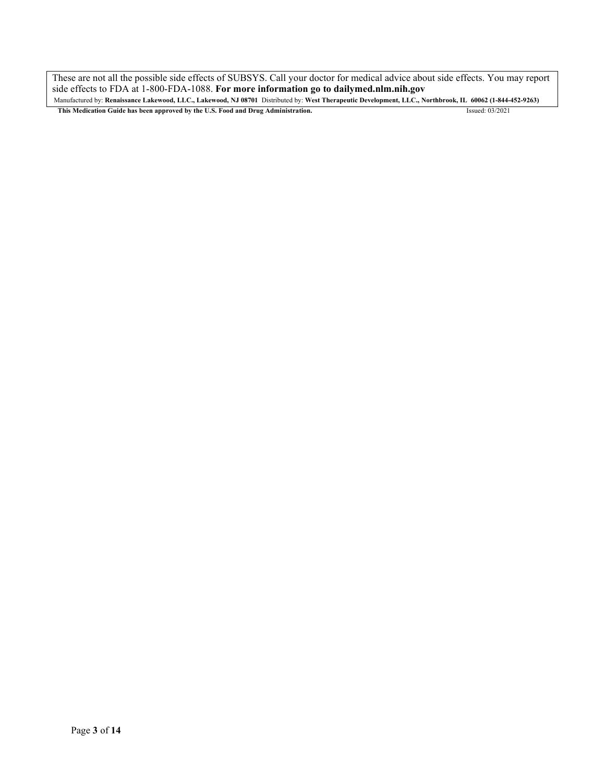These are not all the possible side effects of SUBSYS. Call your doctor for medical advice about side effects. You may report side effects to FDA at 1-800-FDA-1088. **For more information go to dailymed.nlm.nih.gov**

Manufactured by: **Renaissance Lakewood, LLC., Lakewood, NJ 08701** Distributed by: **West Therapeutic Development, LLC., Northbrook, IL 60062 (1-844-452-9263) This Medication Guide has been approved by the U.S. Food and Drug Administration.** Issued: 03/2021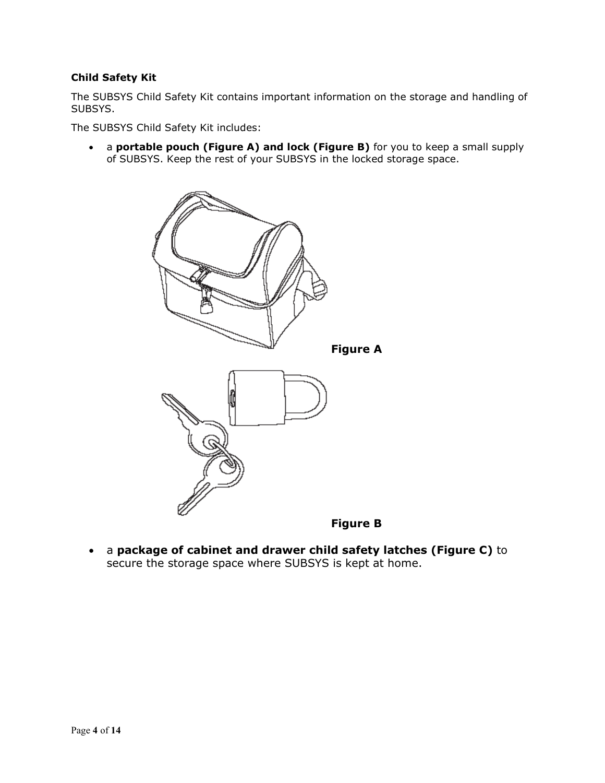# **Child Safety Kit**

The SUBSYS Child Safety Kit contains important information on the storage and handling of SUBSYS.

The SUBSYS Child Safety Kit includes:

• a **portable pouch (Figure A) and lock (Figure B)** for you to keep a small supply of SUBSYS. Keep the rest of your SUBSYS in the locked storage space.



- **Figure B**
- a **package of cabinet and drawer child safety latches (Figure C)** to secure the storage space where SUBSYS is kept at home.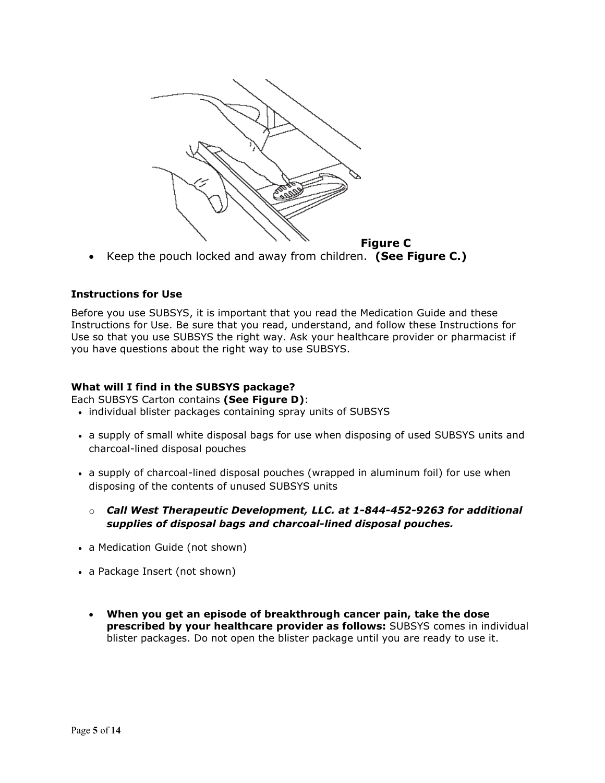

• Keep the pouch locked and away from children. **(See Figure C.)**

# **Instructions for Use**

Before you use SUBSYS, it is important that you read the Medication Guide and these Instructions for Use. Be sure that you read, understand, and follow these Instructions for Use so that you use SUBSYS the right way. Ask your healthcare provider or pharmacist if you have questions about the right way to use SUBSYS.

# **What will I find in the SUBSYS package?**

Each SUBSYS Carton contains **(See Figure D)**:

- individual blister packages containing spray units of SUBSYS
- a supply of small white disposal bags for use when disposing of used SUBSYS units and charcoal-lined disposal pouches
- a supply of charcoal-lined disposal pouches (wrapped in aluminum foil) for use when disposing of the contents of unused SUBSYS units
	- o *Call West Therapeutic Development, LLC. at 1-844-452-9263 for additional supplies of disposal bags and charcoal-lined disposal pouches.*
- a Medication Guide (not shown)
- a Package Insert (not shown)
	- **When you get an episode of breakthrough cancer pain, take the dose prescribed by your healthcare provider as follows:** SUBSYS comes in individual blister packages. Do not open the blister package until you are ready to use it.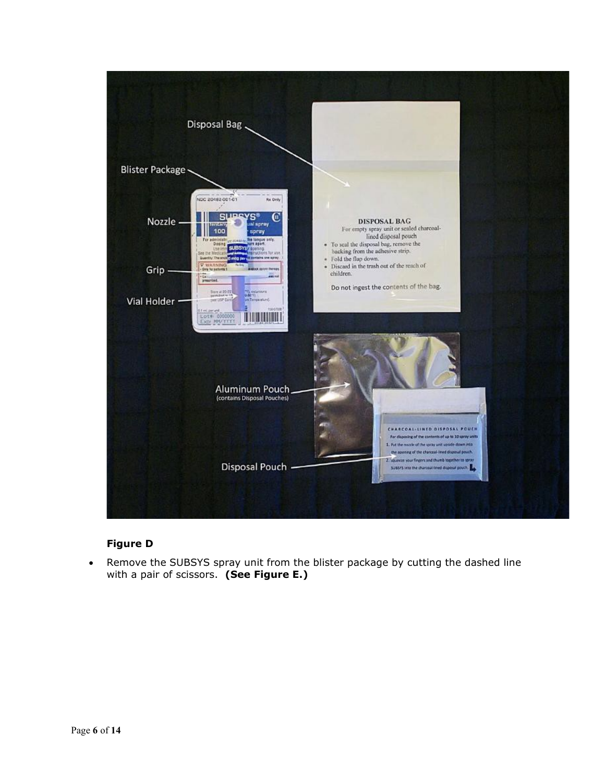

# **Figure D**

• Remove the SUBSYS spray unit from the blister package by cutting the dashed line with a pair of scissors. **(See Figure E.)**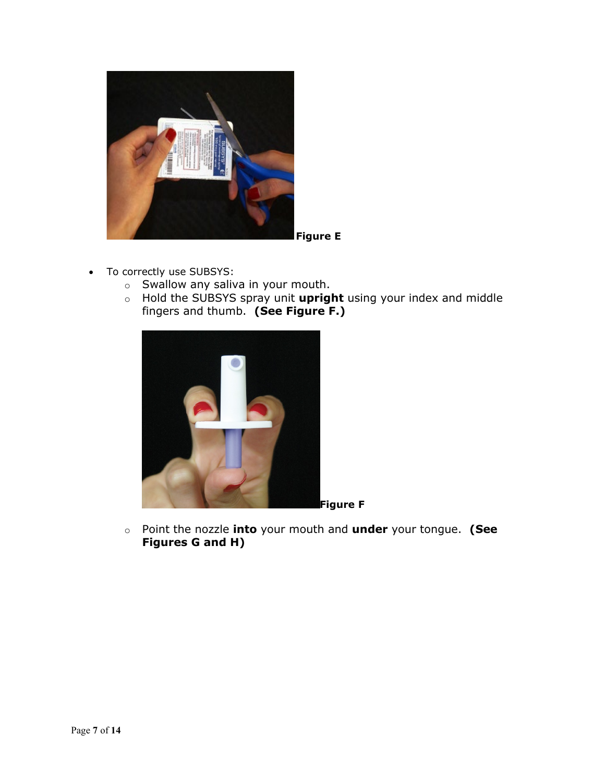

- **Figure E**
- To correctly use SUBSYS:
	- o Swallow any saliva in your mouth.
	- o Hold the SUBSYS spray unit **upright** using your index and middle fingers and thumb. **(See Figure F.)**



o Point the nozzle **into** your mouth and **under** your tongue. **(See Figures G and H)**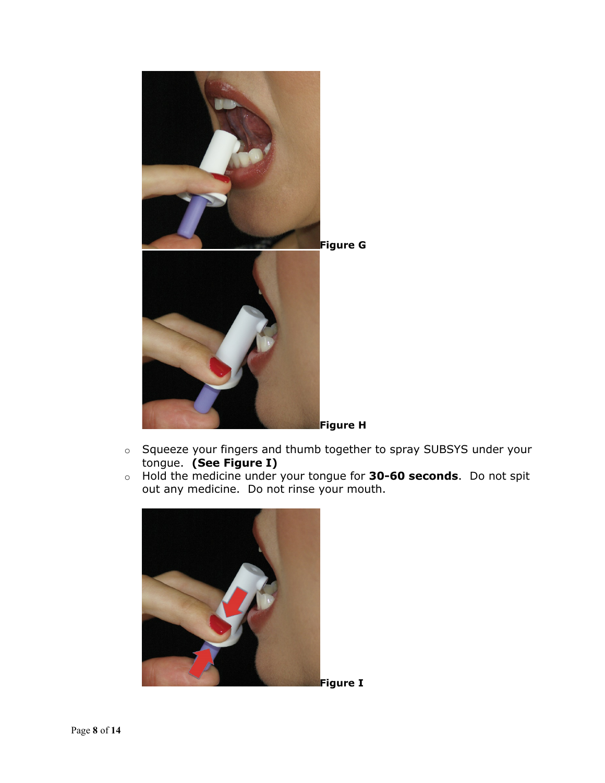

- $\circ$  Squeeze your fingers and thumb together to spray SUBSYS under your tongue. **(See Figure I)**
- o Hold the medicine under your tongue for **30-60 seconds**. Do not spit out any medicine. Do not rinse your mouth.



**Figure I**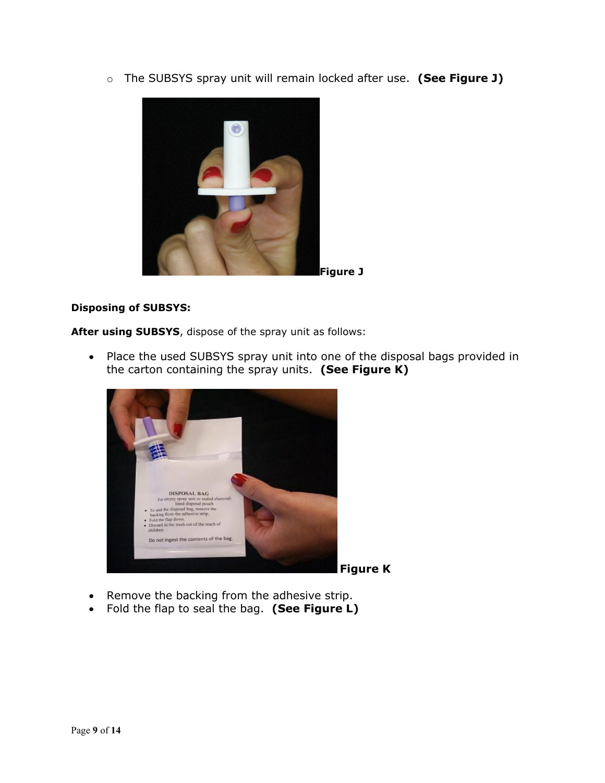o The SUBSYS spray unit will remain locked after use. **(See Figure J)** 



# **Disposing of SUBSYS:**

**After using SUBSYS**, dispose of the spray unit as follows:

• Place the used SUBSYS spray unit into one of the disposal bags provided in the carton containing the spray units. **(See Figure K)**



**Figure K**

- Remove the backing from the adhesive strip.
- Fold the flap to seal the bag. **(See Figure L)**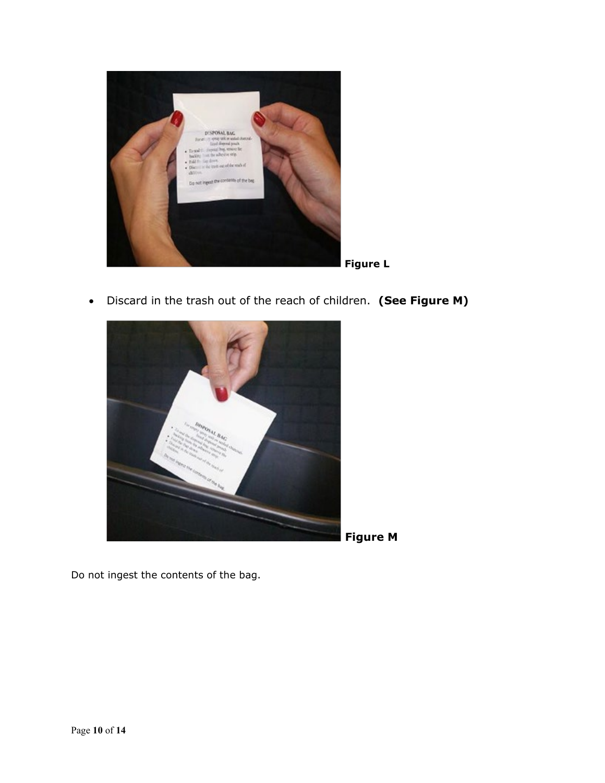



• Discard in the trash out of the reach of children. **(See Figure M)**



**Figure M**

Do not ingest the contents of the bag.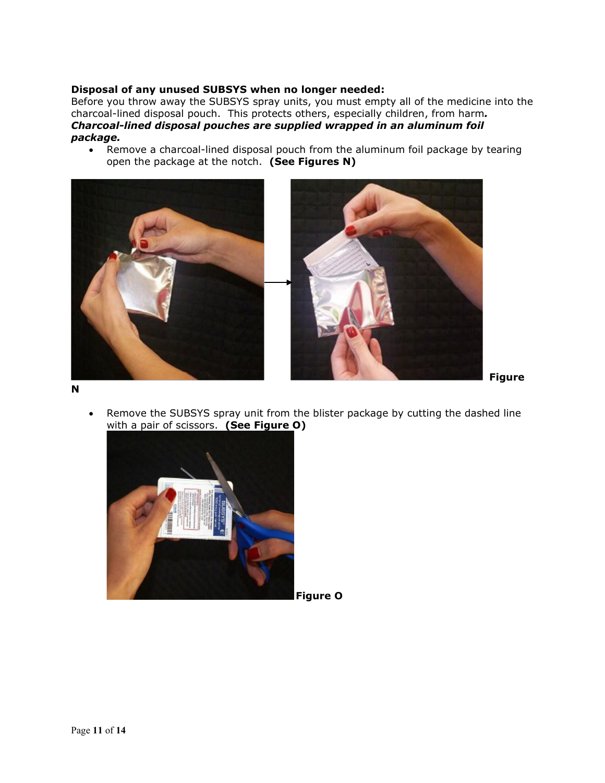# **Disposal of any unused SUBSYS when no longer needed:**

Before you throw away the SUBSYS spray units, you must empty all of the medicine into the charcoal-lined disposal pouch. This protects others, especially children, from harm*. Charcoal-lined disposal pouches are supplied wrapped in an aluminum foil package.* 

• Remove a charcoal-lined disposal pouch from the aluminum foil package by tearing open the package at the notch. **(See Figures N)**





 **Figure** 

**N** 

• Remove the SUBSYS spray unit from the blister package by cutting the dashed line with a pair of scissors. **(See Figure O)**



**Figure O**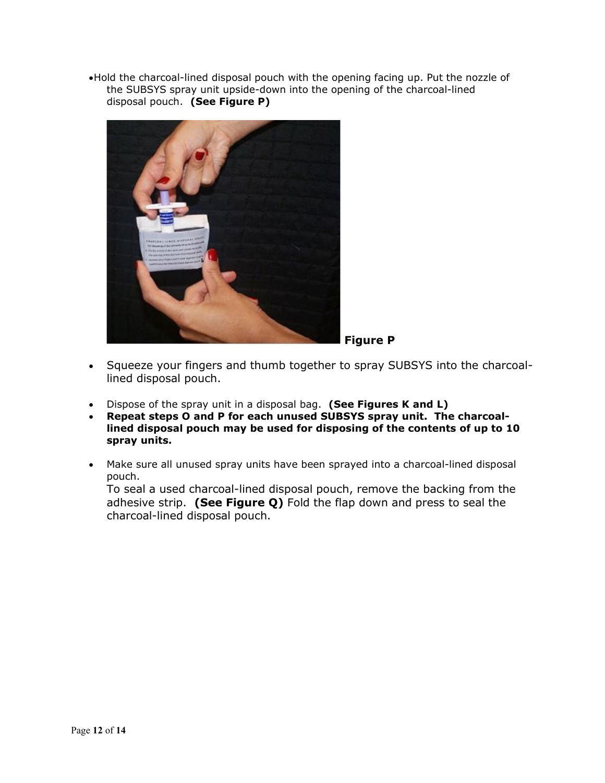•Hold the charcoal-lined disposal pouch with the opening facing up. Put the nozzle of the SUBSYS spray unit upside-down into the opening of the charcoal-lined disposal pouch. **(See Figure P)**



- Squeeze your fingers and thumb together to spray SUBSYS into the charcoallined disposal pouch.
- Dispose of the spray unit in a disposal bag. **(See Figures K and L)**
- **Repeat steps O and P for each unused SUBSYS spray unit. The charcoallined disposal pouch may be used for disposing of the contents of up to 10 spray units.**
- Make sure all unused spray units have been sprayed into a charcoal-lined disposal pouch.

To seal a used charcoal-lined disposal pouch, remove the backing from the adhesive strip. **(See Figure Q)** Fold the flap down and press to seal the charcoal-lined disposal pouch.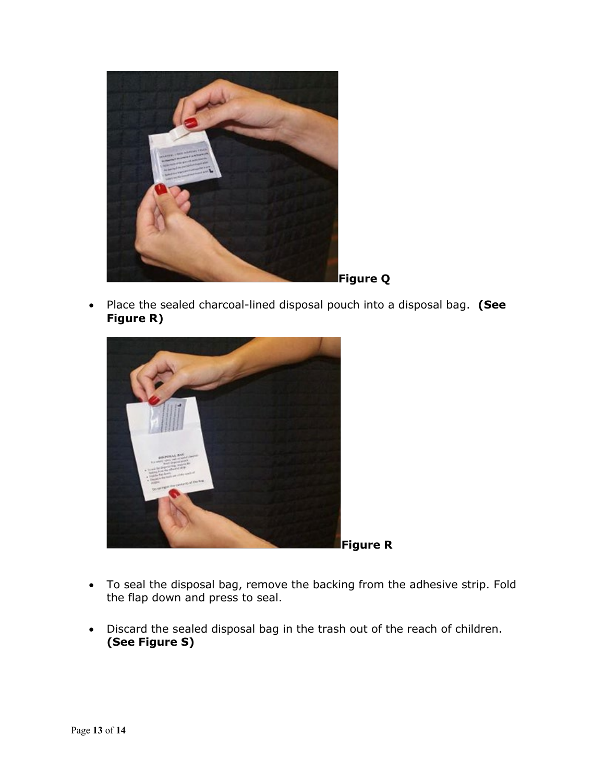

- **Figure Q**
- Place the sealed charcoal-lined disposal pouch into a disposal bag. **(See Figure R)**



- To seal the disposal bag, remove the backing from the adhesive strip. Fold the flap down and press to seal.
- Discard the sealed disposal bag in the trash out of the reach of children. **(See Figure S)**